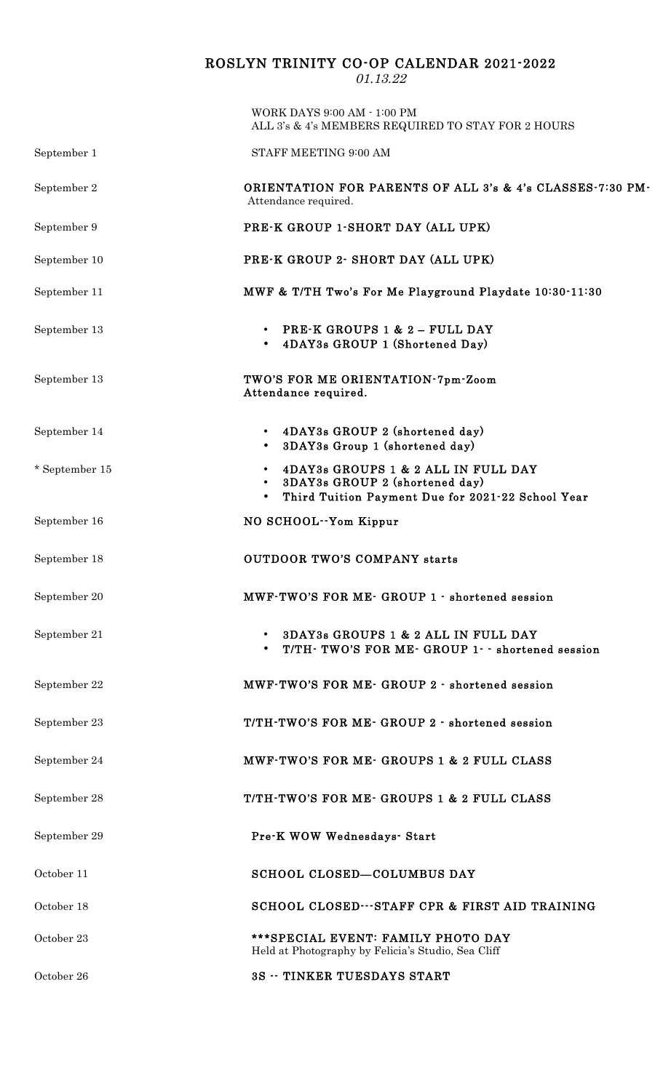## ROSLYN TRINITY CO-OP CALENDAR 2021-2022

01.13.22

|                | WORK DAYS 9:00 AM - 1:00 PM<br>ALL 3's & 4's MEMBERS REQUIRED TO STAY FOR 2 HOURS                                                            |
|----------------|----------------------------------------------------------------------------------------------------------------------------------------------|
| September 1    | STAFF MEETING 9:00 AM                                                                                                                        |
| September 2    | ORIENTATION FOR PARENTS OF ALL 3's & 4's CLASSES-7:30 PM-<br>Attendance required.                                                            |
| September 9    | PRE-K GROUP 1-SHORT DAY (ALL UPK)                                                                                                            |
| September 10   | PRE-K GROUP 2- SHORT DAY (ALL UPK)                                                                                                           |
| September 11   | MWF & T/TH Two's For Me Playground Playdate 10:30-11:30                                                                                      |
| September 13   | • PRE-K GROUPS $1 & 2$ – FULL DAY<br>4DAY3s GROUP 1 (Shortened Day)<br>$\bullet$                                                             |
| September 13   | TWO'S FOR ME ORIENTATION-7pm-Zoom<br>Attendance required.                                                                                    |
| September 14   | 4DAY3s GROUP 2 (shortened day)<br>$\bullet$<br>3DAY3s Group 1 (shortened day)                                                                |
| * September 15 | 4DAY3s GROUPS 1 & 2 ALL IN FULL DAY<br>3DAY3s GROUP 2 (shortened day)<br>$\bullet$<br>Third Tuition Payment Due for 2021-22 School Year<br>٠ |
| September 16   | NO SCHOOL-Yom Kippur                                                                                                                         |
| September 18   | <b>OUTDOOR TWO'S COMPANY starts</b>                                                                                                          |
| September 20   | MWF-TWO'S FOR ME- GROUP 1 - shortened session                                                                                                |
| September 21   | 3DAY3s GROUPS 1 & 2 ALL IN FULL DAY<br>$\bullet$<br>T/TH-TWO'S FOR ME- GROUP 1- - shortened session<br>$\bullet$                             |
| September 22   | MWF-TWO'S FOR ME- GROUP 2 - shortened session                                                                                                |
| September 23   | T/TH-TWO'S FOR ME- GROUP 2 - shortened session                                                                                               |
| September 24   | MWF-TWO'S FOR ME- GROUPS 1 & 2 FULL CLASS                                                                                                    |
| September 28   | T/TH-TWO'S FOR ME- GROUPS 1 & 2 FULL CLASS                                                                                                   |
| September 29   | Pre-K WOW Wednesdays- Start                                                                                                                  |
| October 11     | SCHOOL CLOSED-COLUMBUS DAY                                                                                                                   |
| October 18     | SCHOOL CLOSED---STAFF CPR & FIRST AID TRAINING                                                                                               |
| October 23     | ***SPECIAL EVENT: FAMILY PHOTO DAY<br>Held at Photography by Felicia's Studio, Sea Cliff                                                     |
| October 26     | 3S -- TINKER TUESDAYS START                                                                                                                  |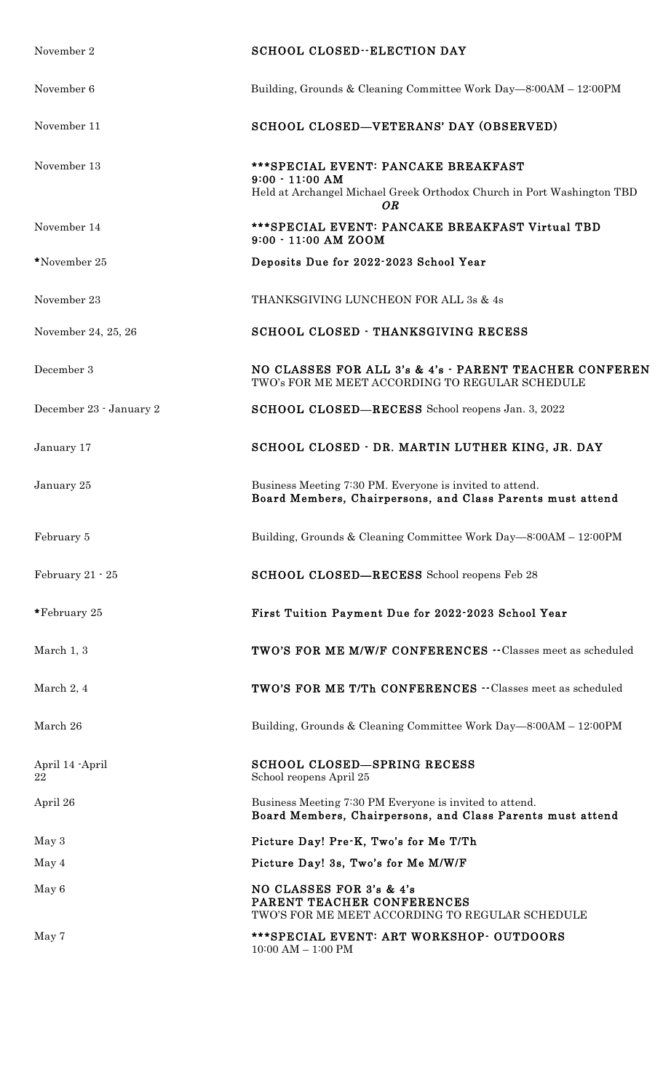| November 2                  | <b>SCHOOL CLOSED--ELECTION DAY</b>                                                                                                              |
|-----------------------------|-------------------------------------------------------------------------------------------------------------------------------------------------|
| November 6                  | Building, Grounds & Cleaning Committee Work Day-8:00AM - 12:00PM                                                                                |
| November 11                 | SCHOOL CLOSED-VETERANS' DAY (OBSERVED)                                                                                                          |
| November 13                 | ***SPECIAL EVENT: PANCAKE BREAKFAST<br>$9:00 - 11:00$ AM<br>Held at Archangel Michael Greek Orthodox Church in Port Washington TBD<br><b>OR</b> |
| November 14                 | ***SPECIAL EVENT: PANCAKE BREAKFAST Virtual TBD<br>9:00 - 11:00 AM ZOOM                                                                         |
| *November 25                | Deposits Due for 2022-2023 School Year                                                                                                          |
| November 23                 | THANKSGIVING LUNCHEON FOR ALL 3s & 4s                                                                                                           |
| November 24, 25, 26         | SCHOOL CLOSED - THANKSGIVING RECESS                                                                                                             |
| December 3                  | NO CLASSES FOR ALL 3's & 4's - PARENT TEACHER CONFEREN<br>TWO's FOR ME MEET ACCORDING TO REGULAR SCHEDULE                                       |
| December 23 - January 2     | <b>SCHOOL CLOSED—RECESS</b> School reopens Jan. 3, 2022                                                                                         |
| January 17                  | SCHOOL CLOSED - DR. MARTIN LUTHER KING, JR. DAY                                                                                                 |
| January 25                  | Business Meeting 7:30 PM. Everyone is invited to attend.<br>Board Members, Chairpersons, and Class Parents must attend                          |
| February 5                  | Building, Grounds & Cleaning Committee Work Day-8:00AM - 12:00PM                                                                                |
| February $21 - 25$          | <b>SCHOOL CLOSED-RECESS</b> School reopens Feb 28                                                                                               |
| *February 25                | First Tuition Payment Due for 2022-2023 School Year                                                                                             |
| March 1, 3                  | <b>TWO'S FOR ME M/W/F CONFERENCES</b> --Classes meet as scheduled                                                                               |
| March 2, 4                  | TWO'S FOR ME T/Th CONFERENCES -- Classes meet as scheduled                                                                                      |
| March 26                    | Building, Grounds & Cleaning Committee Work Day-8:00AM - 12:00PM                                                                                |
| April 14 April<br>$\bf{22}$ | SCHOOL CLOSED-SPRING RECESS<br>School reopens April 25                                                                                          |
| April 26                    | Business Meeting 7:30 PM Everyone is invited to attend.<br>Board Members, Chairpersons, and Class Parents must attend                           |
| May 3                       | Picture Day! Pre-K, Two's for Me T/Th                                                                                                           |
| May 4                       | Picture Day! 3s, Two's for Me M/W/F                                                                                                             |
| May 6                       | NO CLASSES FOR 3's & 4's<br>PARENT TEACHER CONFERENCES<br>TWO'S FOR ME MEET ACCORDING TO REGULAR SCHEDULE                                       |
| May 7                       | ***SPECIAL EVENT: ART WORKSHOP- OUTDOORS<br>$10:00$ AM $- 1:00$ PM                                                                              |